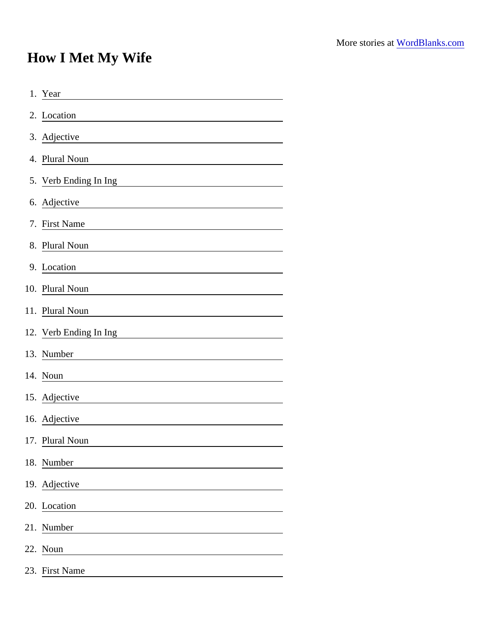## How I Met My Wife

| 1. Year                |
|------------------------|
| 2. Location            |
| 3. Adjective           |
| 4. Plural Noun         |
| 5. Verb Ending In Ing  |
| 6. Adjective           |
| 7. First Name          |
| 8. Plural Noun         |
| 9. Location            |
| 10. Plural Noun        |
| 11. Plural Noun        |
| 12. Verb Ending In Ing |
| 13. Number             |
| 14. Noun               |
| 15. Adjective          |
| 16. Adjective          |
| 17. Plural Noun        |
| 18. Number             |
| 19. Adjective          |
| 20. Location           |
| 21. Number             |
| 22. Noun               |
| 23. First Name         |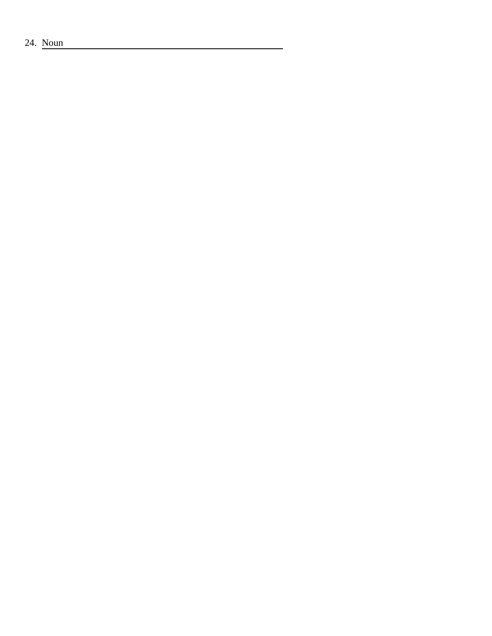24. Noun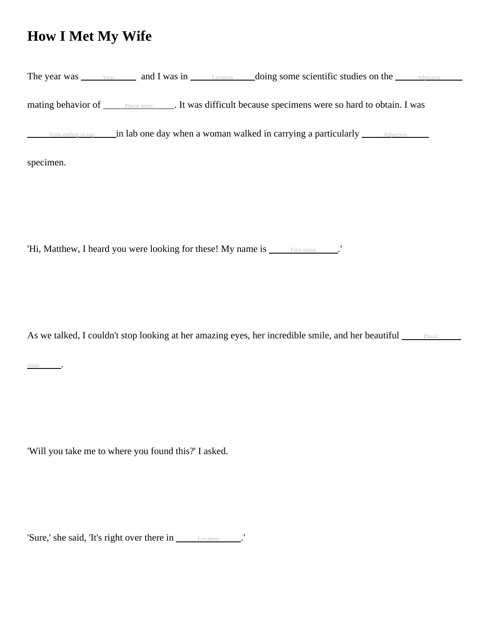## **How I Met My Wife**

|           | The year was $\frac{V_{\text{car}}}{V_{\text{car}}}$ and I was in $\frac{L_{\text{ocation}}}{V_{\text{Location}}}$ doing some scientific studies on the $\frac{L_{\text{Notice}}}{V_{\text{Order}}}$ |  |
|-----------|------------------------------------------------------------------------------------------------------------------------------------------------------------------------------------------------------|--|
|           | mating behavior of <u>Plural noun</u> Let was difficult because specimens were so hard to obtain. I was                                                                                              |  |
|           | Verbending in ing $\frac{1}{2}$ in lab one day when a woman walked in carrying a particularly $\frac{1}{2}$ Adjective                                                                                |  |
| specimen. |                                                                                                                                                                                                      |  |

'Hi, Matthew, I heard you were looking for these! My name is \_\_\_\_\_\_First name \_\_\_\_\_.'

As we talked, I couldn't stop looking at her amazing eyes, her incredible smile, and her beautiful <u>Plural</u>

noun .

'Will you take me to where you found this?' I asked.

'Sure,' she said, 'It's right over there in Location .'